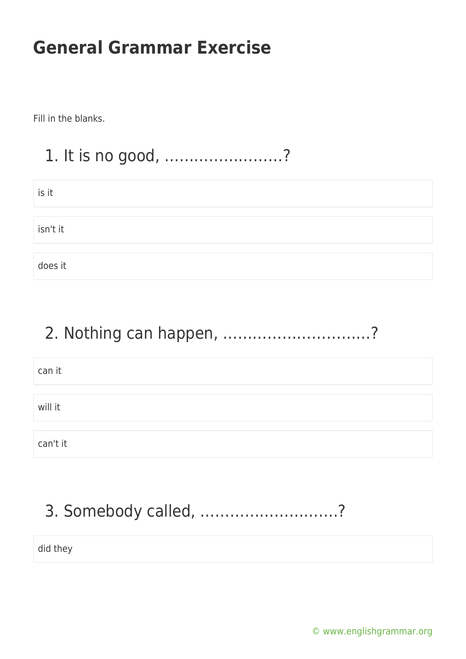Fill in the blanks.

### 1. It is no good, ……………………?

| is it    |  |
|----------|--|
|          |  |
| isn't it |  |
|          |  |
| does it  |  |

### 2. Nothing can happen, …………………………?

| can it   |  |  |  |
|----------|--|--|--|
|          |  |  |  |
| will it  |  |  |  |
|          |  |  |  |
| can't it |  |  |  |

# 3. Somebody called, ……………………….?

did they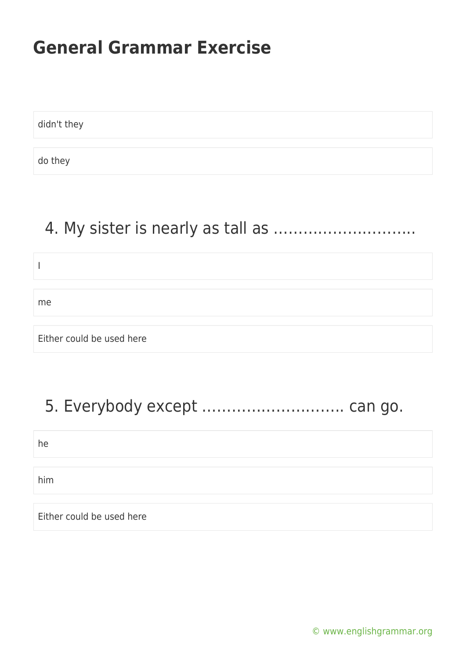didn't they

do they

I

me

### 4. My sister is nearly as tall as ………………………..

Either could be used here

### 5. Everybody except ……………………….. can go.

he

him

Either could be used here

[© www.englishgrammar.org](https://www.englishgrammar.org/)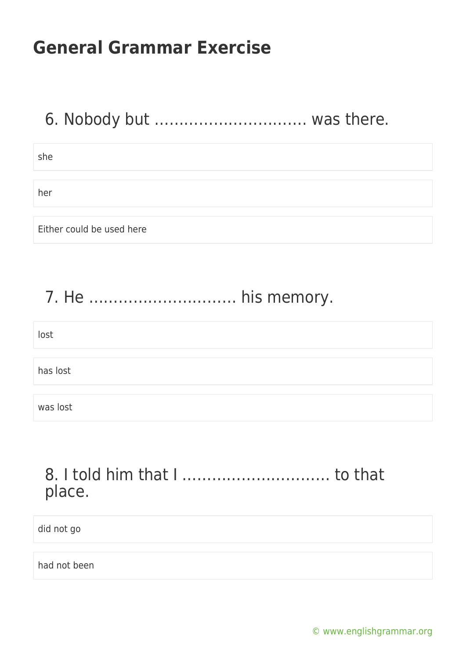### 6. Nobody but …………………………. was there.

she

her

Either could be used here

### 7. He ………………………… his memory.

| lost     |  |  |  |
|----------|--|--|--|
|          |  |  |  |
| has lost |  |  |  |
|          |  |  |  |
| was lost |  |  |  |

#### 8. I told him that I ………………………… to that place.

did not go

had not been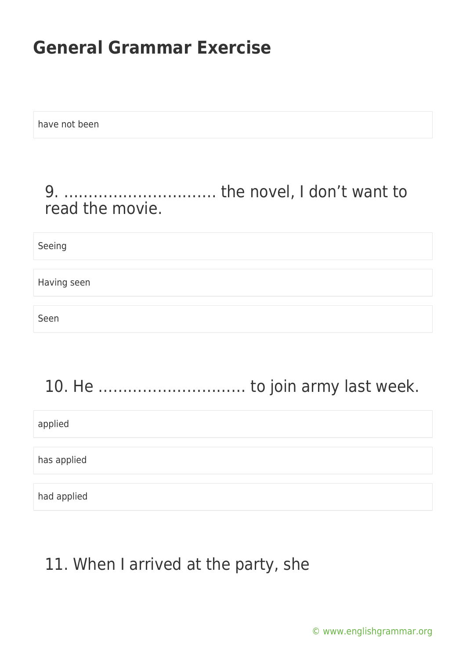have not been

#### 9. …………………………. the novel, I don't want to read the movie.

Seeing

Having seen

Seen

# 10. He ………………………… to join army last week.

applied

has applied

had applied

### 11. When I arrived at the party, she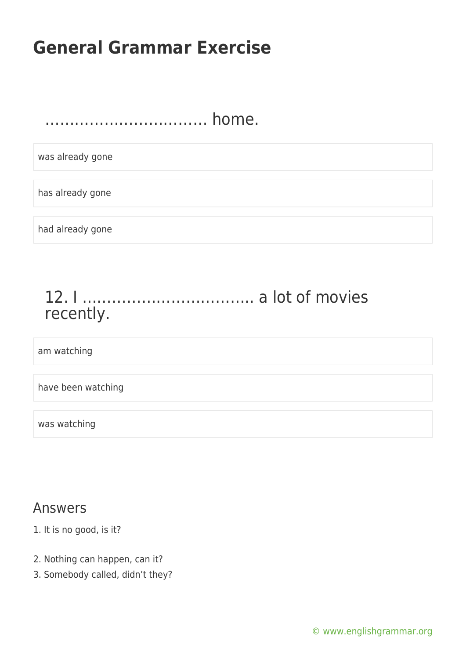…………………………… home.

was already gone

has already gone

had already gone

### 12. I …………………………….. a lot of movies recently.

am watching

have been watching

was watching

#### Answers

- 1. It is no good, is it?
- 2. Nothing can happen, can it?
- 3. Somebody called, didn't they?